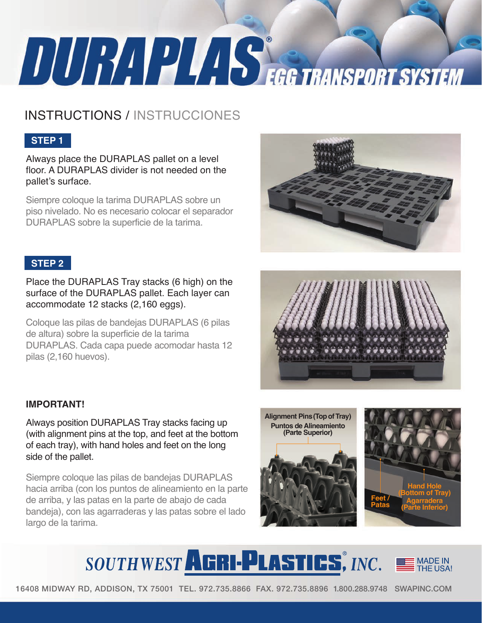# **TURIPLES EGG TRANSPORT SYSTEM**

# INSTRUCTIONS / INSTRUCCIONES

## **STEP 1**

Always place the DURAPLAS pallet on a level floor. A DURAPLAS divider is not needed on the pallet's surface.

Siempre coloque la tarima DURAPLAS sobre un piso nivelado. No es necesario colocar el separador DURAPLAS sobre la superficie de la tarima.

### **STEP 2**

Place the DURAPLAS Tray stacks (6 high) on the surface of the DURAPLAS pallet. Each layer can accommodate 12 stacks (2,160 eggs).

Coloque las pilas de bandejas DURAPLAS (6 pilas de altura) sobre la superficie de la tarima DURAPLAS. Cada capa puede acomodar hasta 12 pilas (2,160 huevos).

#### **IMPORTANT!**

Always position DURAPLAS Tray stacks facing up (with alignment pins at the top, and feet at the bottom of each tray), with hand holes and feet on the long side of the pallet.

Siempre coloque las pilas de bandejas DURAPLAS hacia arriba (con los puntos de alineamiento en la parte de arriba, y las patas en la parte de abajo de cada bandeja), con las agarraderas y las patas sobre el lado largo de la tarima.







# SOUTHWEST AGRI-PLASTICS, INC.